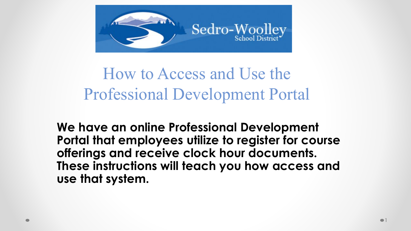

How to Access and Use the Professional Development Portal

**We have an online Professional Development Portal that employees utilize to register for course offerings and receive clock hour documents. These instructions will teach you how access and use that system.**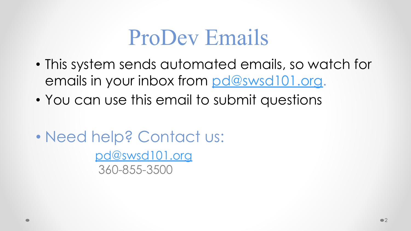### ProDev Emails

- This system sends automated emails, so watch for emails in your inbox from [pd@swsd101.org](mailto:pd@swsd101.org).
- You can use this email to submit questions
- Need help? Contact us:

[pd@swsd101.org](mailto:pd@swsd101.org) 360-855-3500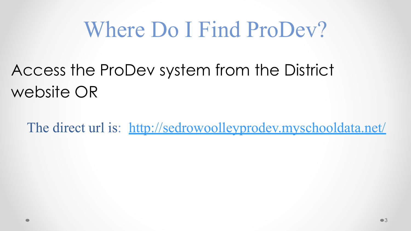### Where Do I Find ProDev?

### Access the ProDev system from the District website OR

The direct url is: <http://sedrowoolleyprodev.myschooldata.net/>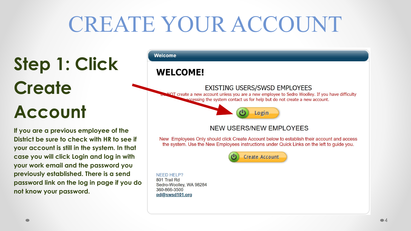## CREATE YOUR ACCOUNT

**Step 1: Click Create Account**

**If you are a previous employee of the District be sure to check with HR to see if your account is still in the system. In that case you will click Login and log in with your work email and the password you previously established. There is a send password link on the log in page if you do not know your password.** 

#### **Welcome**

#### **WELCOME!**

#### **EXISTING USERS/SWSD EMPLOYEES**

NOT create a new account unless you are a new employee to Sedro Woolley. If you have difficulty occessing the system contact us for help but do not create a new account.



#### **NEW USERS/NEW EMPLOYEES**

New Employees Only should click Create Account below to establish their account and access the system. Use the New Employees instructions under Quick Links on the left to guide you.



**NEED HELP?** 801 Trail Rd Sedro-Woolley, WA 98284 360-866-3500 pd@swsd101.org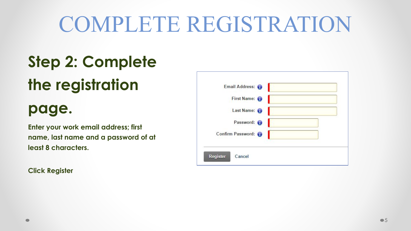# COMPLETE REGISTRATION

### **Step 2: Complete**

### **the registration**

### **page.**

**Enter your work email address; first name, last name and a password of at least 8 characters.** 

**Click Register**

| Email Address:            |  |
|---------------------------|--|
| First Name: O             |  |
| Last Name:                |  |
| Password: 0               |  |
| Confirm Password:         |  |
|                           |  |
| Cancel<br><b>Register</b> |  |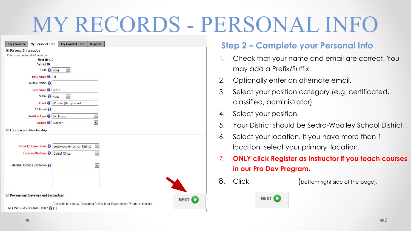## MY RECORDS - PERSONAL INFO

|                        | <b>My Personal Info</b>                    | My Contact Info                    | <b>Reports</b>           |  |  |  |
|------------------------|--------------------------------------------|------------------------------------|--------------------------|--|--|--|
| □ Personal Information |                                            |                                    |                          |  |  |  |
|                        | Enter your personal information.           |                                    |                          |  |  |  |
|                        | <b>User ID is 9</b><br><b>District ID:</b> |                                    |                          |  |  |  |
|                        | Prefix <i>None</i>                         | $\left\vert \mathbf{r}\right\vert$ |                          |  |  |  |
|                        |                                            |                                    |                          |  |  |  |
|                        | First Name 1 Pd                            |                                    |                          |  |  |  |
|                        | Middle Name O                              |                                    |                          |  |  |  |
|                        | Last Name 1 Tester                         |                                    |                          |  |  |  |
|                        | Suffix None                                | ×                                  |                          |  |  |  |
|                        |                                            | Email PDTester@hrmplus.net         |                          |  |  |  |
|                        | Alt Email                                  |                                    |                          |  |  |  |
|                        | <b>Position Type 1</b>                     | Certificated                       | ۰                        |  |  |  |
|                        | Position <sup>(1)</sup>                    | Teacher                            |                          |  |  |  |
|                        |                                            |                                    | ,                        |  |  |  |
|                        | □ Location and Membership                  |                                    |                          |  |  |  |
|                        | District/Organization (                    | Sedro-Woolley School District      | $\blacksquare$           |  |  |  |
|                        | <b>Location/Building O</b>                 | District Office                    | $\overline{\phantom{0}}$ |  |  |  |
|                        | Member Groups (Optional)                   |                                    | $\overline{\phantom{a}}$ |  |  |  |
|                        |                                            |                                    |                          |  |  |  |
|                        |                                            |                                    |                          |  |  |  |
|                        |                                            |                                    |                          |  |  |  |
|                        |                                            |                                    |                          |  |  |  |
|                        | □ Professional Development Instructors     |                                    |                          |  |  |  |

#### **Step 2 – Complete your Personal Info**

- 1. Check that your name and email are correct. You may add a Prefix/Suffix.
- 2. Optionally enter an alternate email.
- 3. Select your position category (e.g. certificated, classified, administrator)
- 4. Select your position.
- 5. Your District should be Sedro-Woolley School District.
- 6. Select your location. If you have more than 1 location, select your primary location.
- 7. **ONLY click Register as Instructor if you teach courses in our Pro Dev Program.**
- 8. Click (bottom right side of the page).
	-

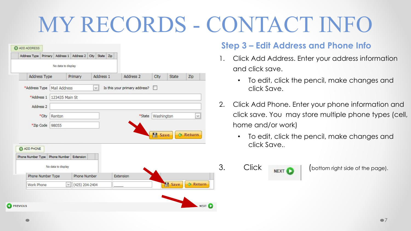# MY RECORDS - CONTACT INFO

| Address Type                           | Primary |                     | Address 1 Address 2 City |        | State Zip |                               |        |            |       |                 |
|----------------------------------------|---------|---------------------|--------------------------|--------|-----------|-------------------------------|--------|------------|-------|-----------------|
|                                        |         | No data to display  |                          |        |           |                               |        |            |       |                 |
| Address Type                           |         |                     | Primary                  |        | Address 1 | Address 2                     |        | City       | State | Zip             |
| *Address Type                          |         | Mail Address        |                          | $\lor$ |           | Is this your primary address? |        | ш          |       |                 |
| *Address 1                             |         | 123435 Main St      |                          |        |           |                               |        |            |       |                 |
| Address <sub>2</sub>                   |         |                     |                          |        |           |                               |        |            |       |                 |
| *City                                  |         | Renton              |                          |        |           |                               | *State | Washington |       | v               |
| *Zip Code                              |         | 98055               |                          |        |           |                               |        |            |       |                 |
|                                        |         |                     |                          |        |           |                               |        | Save       |       | <b>B</b> Return |
|                                        |         |                     |                          |        |           |                               |        |            |       |                 |
|                                        |         |                     |                          |        |           |                               |        |            |       |                 |
| <b>C</b> ADD PHONE                     |         |                     |                          |        |           |                               |        |            |       |                 |
|                                        |         | <b>Phone Number</b> | Extension                |        |           |                               |        |            |       |                 |
|                                        |         | No data to display  |                          |        |           |                               |        |            |       |                 |
| Phone Number Type<br>Phone Number Type |         |                     | Phone Number             |        |           | Extension                     |        |            |       |                 |

#### **Step 3 – Edit Address and Phone Info**

- 1. Click Add Address. Enter your address information and click save.
	- To edit, click the pencil, make changes and click Save.
- 2. Click Add Phone. Enter your phone information and click save. You may store multiple phone types (cell, home and/or work)
	- To edit, click the pencil, make changes and click Save..

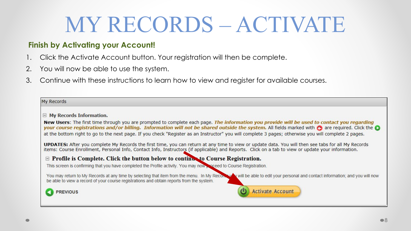## MY RECORDS – ACTIVATE

#### **Finish by Activating your Account!**

- 1. Click the Activate Account button. Your registration will then be complete.
- 2. You will now be able to use the system.
- 3. Continue with these instructions to learn how to view and register for available courses.

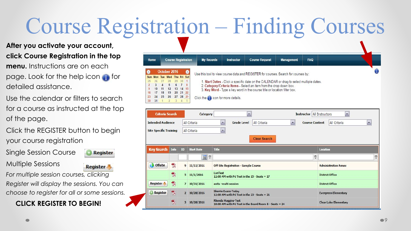## Course Registration – Finding Courses

**After you activate your account, click Course Registration in the top menu.** Instructions are on each page. Look for the help icon for detailed assistance.

- Use the calendar or filters to search for a course as instructed at the top of the page.
- Click the REGISTER button to begin your course registration
- Single Session Course

**Register** 

**Register** 

Multiple Sessions

*For multiple session courses, clicking Register will display the sessions. You can choose to register for all or some sessions.*

#### **CLICK REGISTER TO BEGIN!**



| <b>Criteria Search</b>        |      |                | Category          | <b>Instructor All Instructors</b><br>$\overline{\phantom{a}}$                           |                        |                 | $\overline{\phantom{a}}$             |
|-------------------------------|------|----------------|-------------------|-----------------------------------------------------------------------------------------|------------------------|-----------------|--------------------------------------|
| <b>Intended Audience</b>      |      |                | All Criteria      | $\sim$<br>All Criteria<br><b>Grade Level</b><br>$\overline{ }$<br><b>Course Content</b> |                        |                 | $\blacktriangledown$<br>All Criteria |
| <b>Site Specific Training</b> |      |                | All Criteria      | $\overline{ }$<br><b>Clear Search</b>                                                   |                        |                 |                                      |
| <b>Key Search</b>             | Info | ID             | <b>Start Date</b> | <b>Title</b>                                                                            |                        | <b>Location</b> |                                      |
|                               |      |                | $31$ $\degree$    |                                                                                         | 7                      |                 | 7                                    |
| <b>O</b> Offsite              | 7    | 9              | 11/11/2016        | Off Site Registration - Sample Course                                                   |                        |                 | <b>Administration Annex</b>          |
|                               | 型    | 5              | 11/1/2016         | LoriTest<br>12:00 AM with Pd Test in the 15 - Seats = 17                                |                        |                 | <b>District Office</b>               |
| <b>Register</b>               | 包    | $\overline{7}$ | 10/31/2016        | anita -multi session                                                                    | <b>District Office</b> |                 |                                      |
| <b>Register</b>               | 한    | $\mathbf{2}$   | 10/28/2016        | <b>Sherrie Evans-Today</b><br>12:00 AM with Pd Test in the $23 - \text{Seats} = 21$     |                        |                 | <b>Evergreen Elementary</b>          |
|                               | 한    |                | 3 10/28/2016      | <b>Rhonda Huggins-Test</b><br>10:00 AM with Pd Test in the Board Room B - Seats = 24    |                        |                 | <b>Clear Lake Elementary</b>         |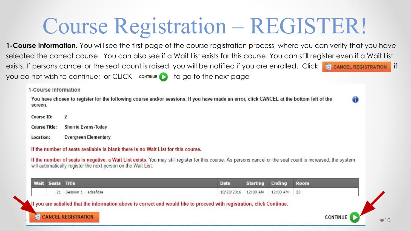### Course Registration – REGISTER!

**1-Course Information.** You will see the first page of the course registration process, where you can verify that you have selected the correct course. You can also see if a Wait List exists for this course. You can still register even if a Wait List exists. If persons cancel or the seat count is raised, you will be notified if you are enrolled. Click **Fe cancel REGISTRATION** if you do not wish to continue; or CLICK  $\Box$  to go to the next page

1-Course Information

You have chosen to register for the following course and/or sessions. If you have made an error, click CANCEL at the bottom left of the screen.

**Course ID:**  $\overline{2}$ **Course Title: Sherrie Evans-Today Evergreen Elementary** Location:

If the number of seats available is blank there is no Wait List for this course.

If the number of seats is negative, a Wait List exists. You may still register for this course. As persons cancel or the seat count is increased, the system will automatically register the next person on the Wait List.

|  | Wait Seats | <b>Title</b><br><b>POSTAGE</b> | Date       | <u>atan mu</u> | <b>Ename</b> | Room           |
|--|------------|--------------------------------|------------|----------------|--------------|----------------|
|  |            | - adsafdsa<br>Session          | 10/28/2016 | 12:00 AM       | 12:00 AM     | $-22$<br>$- -$ |

If you are satisfied that the information above is correct and would like to proceed with registration, click Continue.



**CONTINUE** 

10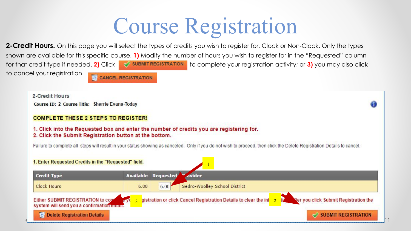## Course Registration

**2-Credit Hours.** On this page you will select the types of credits you wish to register for, Clock or Non-Clock. Only the types shown are available for this specific course. **1)** Modify the number of hours you wish to register for in the "Requested" column for that credit type if needed. 2) Click  $\blacksquare$  **SUBMIT REGISTRATION** to complete your registration activity; or 3) you may also click to cancel your registration. **CANCEL REGISTRATION** 

Course ID: 2 Course Title: Sherrie Evans-Today **COMPLETE THESE 2 STEPS TO REGISTER!** 

2-Credit Hours

1. Click into the Requested box and enter the number of credits you are registering for. 2. Click the Submit Registration button at the bottom.

Failure to complete all steps will result in your status showing as canceled. Only if you do not wish to proceed, then click the Delete Registration Details to cancel.

ŒD

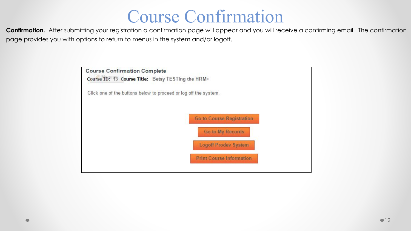### Course Confirmation

**Confirmation.** After submitting your registration a confirmation page will appear and you will receive a confirming email. The confirmation page provides you with options to return to menus in the system and/or logoff.

| <b>Course Confirmation Complete</b>                              |                                  |
|------------------------------------------------------------------|----------------------------------|
| Course ID: 43 Course Title: Betsy TESTing the HRM+               |                                  |
| Click one of the buttons below to proceed or log off the system. |                                  |
|                                                                  |                                  |
|                                                                  | <b>Go to Course Registration</b> |
|                                                                  | Go to My Records                 |
|                                                                  | <b>Logoff Prodev System</b>      |
|                                                                  | <b>Print Course Information</b>  |
|                                                                  |                                  |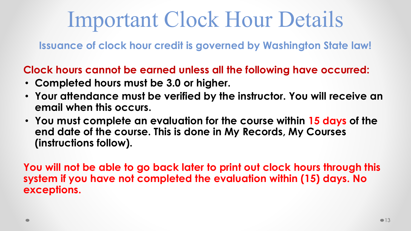### Important Clock Hour Details

**Issuance of clock hour credit is governed by Washington State law!**

**Clock hours cannot be earned unless all the following have occurred:**

- **Completed hours must be 3.0 or higher.**
- **Your attendance must be verified by the instructor. You will receive an email when this occurs.**
- **You must complete an evaluation for the course within 15 days of the end date of the course. This is done in My Records, My Courses (instructions follow).**

**You will not be able to go back later to print out clock hours through this system if you have not completed the evaluation within (15) days. No exceptions.**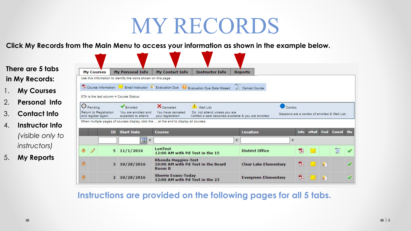### MY RECORDS

**Click My Records from the Main Menu to access your information as shown in the example below.** 

**There are 5 tabs My Personal Info My Courses My Contact Info Instructor Info Reports in My Records:** Use this information to identify the icons shown on this page. D Course Information M Email Instructor Evaluation Due O Evaluation Due Date Missed Cancel Course 1. **My Courses** STA is the last column = Course Status: 2. **Personal Info**  $\bigcirc$  Pending X<sub>Canceled</sub>  $\bullet$  Combo Wait List Enrolled Return to Registration You are enrolled and You have canceled Do not attend unless you are 3. **Contact Info** Sessions are a combo of enrolled & Wait List. notified a seat becomes available & you are enrolled. and register again. expected to attend your registration When multiple pages of courses display, click the ... at the end to display all courses. 4. **Instructor Info**  Info eMail Eval Cancel Sta **ID** Start Date **Course Location** *(visible only to*   $31$   $\degree$ *instructors)* LoriTest  $\overline{\mathbf{c}}$  $\ddot{\phantom{1}}$  $\mathscr{I}$  $5\ \frac{11}{1}\ \frac{2016}{201}$ 包 **District Office**  $\sim$ 12:00 AM with Pd Test in the 15 5. **My Reports Rhonda Huggins-Test** J. **Clear Lake Elementary** 한 n an 10:00 AM with Pd Test in the Board  $3\quad10/28/2016$ Room B **Sherrie Evans-Today** 包  $\mathbf{C}$ **Evergreen Elementary** 2 10/28/2016 **START** ᢦ 12:00 AM with Pd Test in the 23

**Instructions are provided on the following pages for all 5 tabs.**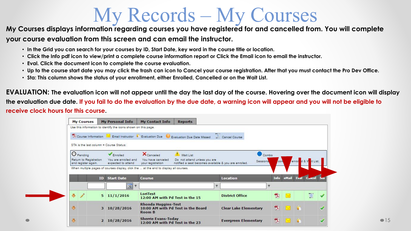### My Records – My Courses

#### **My Courses displays information regarding courses you have registered for and cancelled from. You will complete your course evaluation from this screen and can email the instructor.**

- **In the Grid you can search for your courses by ID, Start Date, key word in the course title or location.**
- **Click the Info pdf icon to view/print a complete course information report or Click the Email icon to email the instructor.**
- **Eval. Click the document icon to complete the course evaluation.**
- **Up to the course start date you may click the trash can icon to Cancel your course registration. After that you must contact the Pro Dev Office.**
- **Sta: This column shows the status of your enrollment, either Enrolled, Cancelled or on the Wait List.**

**EVALUATION: The evaluation icon will not appear until the day the last day of the course. Hovering over the document icon will display the evaluation due date. If you fail to do the evaluation by the due date, a warning icon will appear and you will not be eligible to receive clock hours for this course.** 

|                      | <b>My Courses</b>   |                        | <b>My Personal Info</b>                                                               | My Contact Info                             | <b>Reports</b>                                                    |             |                              |                      |        |                         |  |
|----------------------|---------------------|------------------------|---------------------------------------------------------------------------------------|---------------------------------------------|-------------------------------------------------------------------|-------------|------------------------------|----------------------|--------|-------------------------|--|
|                      |                     |                        | Use this information to identify the icons shown on this page.                        |                                             |                                                                   |             |                              |                      |        |                         |  |
|                      |                     | Course Information     |                                                                                       | Email Instructor Evaluation Due             | Evaluation Due Date Missed                                        |             | Cancel Course                |                      |        |                         |  |
|                      |                     |                        |                                                                                       |                                             |                                                                   |             |                              |                      |        |                         |  |
|                      |                     |                        | STA is the last column = Course Status:                                               |                                             |                                                                   |             |                              |                      |        |                         |  |
|                      |                     |                        |                                                                                       |                                             |                                                                   |             |                              |                      |        |                         |  |
|                      | $\Theta$ Pending    |                        | Enrolled                                                                              | <b>X</b> Canceled                           | Wait List                                                         |             |                              | Combo                |        |                         |  |
|                      | and register again. | Return to Registration | You are enrolled and<br>expected to attend                                            | You have canceled<br>your registration      | Sessions<br>notified a seat becomes available & you are enrolled. | con         |                              | enrol d & V it List. |        |                         |  |
|                      |                     |                        |                                                                                       |                                             |                                                                   |             |                              |                      |        |                         |  |
|                      |                     |                        | When multiple pages of courses display, click the  at the end to display all courses. |                                             |                                                                   |             |                              |                      |        |                         |  |
|                      |                     |                        |                                                                                       |                                             |                                                                   |             |                              |                      |        |                         |  |
|                      |                     |                        |                                                                                       |                                             |                                                                   |             |                              |                      |        |                         |  |
|                      |                     | <b>ID</b>              | <b>Start Date</b>                                                                     | Course                                      |                                                                   |             | <b>Location</b>              |                      |        | Info eMail Eval Cancel  |  |
|                      |                     |                        | 31<br>$\tilde{r}$                                                                     |                                             |                                                                   | $\tilde{r}$ |                              | ۴                    |        |                         |  |
| $\bullet$            | 1                   |                        | $5 \frac{11}{1} \cdot \frac{2016}{100}$                                               | LoriTest<br>12:00 AM with Pd Test in the 15 |                                                                   |             | <b>District Office</b>       | 凤                    | $\sim$ | $\overline{\mathbb{G}}$ |  |
|                      |                     |                        |                                                                                       |                                             |                                                                   |             |                              |                      |        |                         |  |
|                      |                     |                        |                                                                                       | <b>Rhonda Huggins-Test</b>                  |                                                                   |             |                              |                      |        |                         |  |
| $\circ$              |                     | 3                      | 10/28/2016                                                                            | Room B                                      | 10:00 AM with Pd Test in the Board                                |             | <b>Clear Lake Elementary</b> | 한                    |        |                         |  |
| $\ddot{\phantom{0}}$ |                     | $\overline{2}$         | 10/28/2016                                                                            | <b>Sherrie Evans-Today</b>                  |                                                                   |             | <b>Evergreen Elementary</b>  | 겨                    |        |                         |  |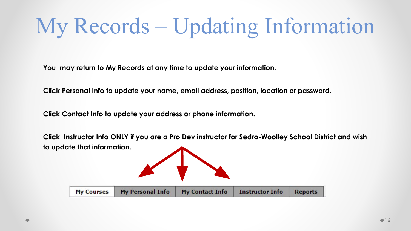# My Records – Updating Information

**You may return to My Records at any time to update your information.**

**Click Personal Info to update your name, email address, position, location or password.**

**Click Contact Info to update your address or phone information.** 

**Click Instructor Info ONLY if you are a Pro Dev instructor for Sedro-Woolley School District and wish to update that information.** 

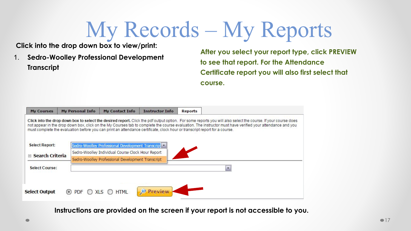# My Records – My Reports

**Click into the drop down box to view/print:**

1. **Sedro-Woolley Professional Development Transcript**

**After you select your report type, click PREVIEW to see that report. For the Attendance Certificate report you will also first select that course.** 

| <b>My Courses</b>        | <b>My Personal Info</b>  | My Contact Info                                   | <b>Instructor Info</b>                                                                                                     | <b>Reports</b> |                                                                                                                                                                                                                                                                                                                            |
|--------------------------|--------------------------|---------------------------------------------------|----------------------------------------------------------------------------------------------------------------------------|----------------|----------------------------------------------------------------------------------------------------------------------------------------------------------------------------------------------------------------------------------------------------------------------------------------------------------------------------|
|                          |                          |                                                   | must complete the evaluation before you can print an attendance certificate, clock hour or transcript report for a course. |                | Click into the drop down box to select the desired report. Click the pdf output option. For some reports you will also select the course. If your course does<br>not appear in the drop down box, click on the My Courses tab to complete the course evaluation. The instructor must have verified your attendance and you |
| <b>Select Report:</b>    |                          | Sedro-Woolley Professional Development Transcript |                                                                                                                            |                |                                                                                                                                                                                                                                                                                                                            |
| <b>□ Search Criteria</b> |                          | Sedro-Woolley Individual Course Clock Hour Report |                                                                                                                            |                |                                                                                                                                                                                                                                                                                                                            |
|                          |                          | Sedro-Woolley Professional Development Transcript |                                                                                                                            |                |                                                                                                                                                                                                                                                                                                                            |
| <b>Select Course:</b>    |                          |                                                   |                                                                                                                            |                | $\bullet$                                                                                                                                                                                                                                                                                                                  |
|                          |                          |                                                   |                                                                                                                            |                |                                                                                                                                                                                                                                                                                                                            |
|                          |                          |                                                   |                                                                                                                            |                |                                                                                                                                                                                                                                                                                                                            |
| <b>Select Output</b>     | $\left( \bullet \right)$ | <b>HTML</b><br>XLS.                               | <b>Preview</b>                                                                                                             |                |                                                                                                                                                                                                                                                                                                                            |
|                          |                          |                                                   |                                                                                                                            |                |                                                                                                                                                                                                                                                                                                                            |

**Instructions are provided on the screen if your report is not accessible to you.**